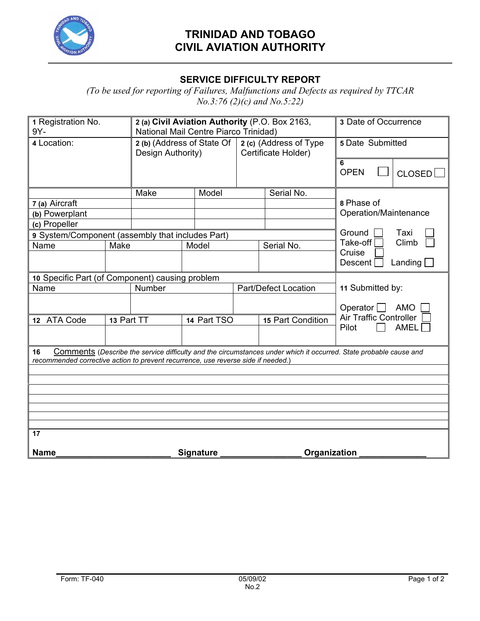

## **TRINIDAD AND TOBAGO CIVIL AVIATION AUTHORITY**

## **SERVICE DIFFICULTY REPORT**

*(To be used for reporting of Failures, Malfunctions and Defects as required by TTCAR No.3:76 (2)(c) and No.5:22)* 

| 1 Registration No.<br>9Y-                                                               |                | 2 (a) Civil Aviation Authority (P.O. Box 2163,<br>National Mail Centre Piarco Trinidad) |                  |                                               |                                                                                                                   | 3 Date of Occurrence                |                |
|-----------------------------------------------------------------------------------------|----------------|-----------------------------------------------------------------------------------------|------------------|-----------------------------------------------|-------------------------------------------------------------------------------------------------------------------|-------------------------------------|----------------|
| 4 Location:                                                                             |                | 2 (b) (Address of State Of<br>Design Authority)                                         |                  | 2 (c) (Address of Type<br>Certificate Holder) |                                                                                                                   | 5 Date Submitted                    |                |
|                                                                                         |                |                                                                                         |                  |                                               |                                                                                                                   | 6<br><b>OPEN</b>                    | CLOSED         |
|                                                                                         |                | Make                                                                                    | Model            |                                               | Serial No.                                                                                                        |                                     |                |
| 7 (a) Aircraft                                                                          |                |                                                                                         |                  |                                               |                                                                                                                   | 8 Phase of                          |                |
|                                                                                         | (b) Powerplant |                                                                                         |                  |                                               |                                                                                                                   | Operation/Maintenance               |                |
| (c) Propeller                                                                           |                |                                                                                         |                  |                                               |                                                                                                                   |                                     |                |
| 9 System/Component (assembly that includes Part)                                        |                |                                                                                         |                  |                                               |                                                                                                                   | Ground<br>Taxi<br>Climb<br>Take-off |                |
| Name                                                                                    | Make           |                                                                                         | Model            |                                               | Serial No.                                                                                                        | Cruise                              |                |
|                                                                                         |                |                                                                                         |                  |                                               |                                                                                                                   | <b>Descent</b>                      | Landing $\Box$ |
| 10 Specific Part (of Component) causing problem                                         |                |                                                                                         |                  |                                               |                                                                                                                   |                                     |                |
| Name                                                                                    |                | Number                                                                                  |                  | <b>Part/Defect Location</b>                   |                                                                                                                   | 11 Submitted by:                    |                |
|                                                                                         |                |                                                                                         |                  |                                               |                                                                                                                   | Operator $\Box$                     | <b>AMO</b>     |
| 12 ATA Code<br>13 Part TT                                                               |                |                                                                                         | 14 Part TSO      |                                               | 15 Part Condition                                                                                                 | <b>Air Traffic Controller</b>       |                |
|                                                                                         |                |                                                                                         |                  |                                               |                                                                                                                   | Pilot                               | AMEL           |
| 16<br>recommended corrective action to prevent recurrence, use reverse side if needed.) |                |                                                                                         |                  |                                               | Comments (Describe the service difficulty and the circumstances under which it occurred. State probable cause and |                                     |                |
|                                                                                         |                |                                                                                         |                  |                                               |                                                                                                                   |                                     |                |
|                                                                                         |                |                                                                                         |                  |                                               |                                                                                                                   |                                     |                |
|                                                                                         |                |                                                                                         |                  |                                               |                                                                                                                   |                                     |                |
|                                                                                         |                |                                                                                         |                  |                                               |                                                                                                                   |                                     |                |
|                                                                                         |                |                                                                                         |                  |                                               |                                                                                                                   |                                     |                |
|                                                                                         |                |                                                                                         |                  |                                               |                                                                                                                   |                                     |                |
| $\overline{17}$                                                                         |                |                                                                                         |                  |                                               |                                                                                                                   |                                     |                |
| <b>Name</b>                                                                             |                |                                                                                         | <b>Signature</b> |                                               |                                                                                                                   | Organization                        |                |